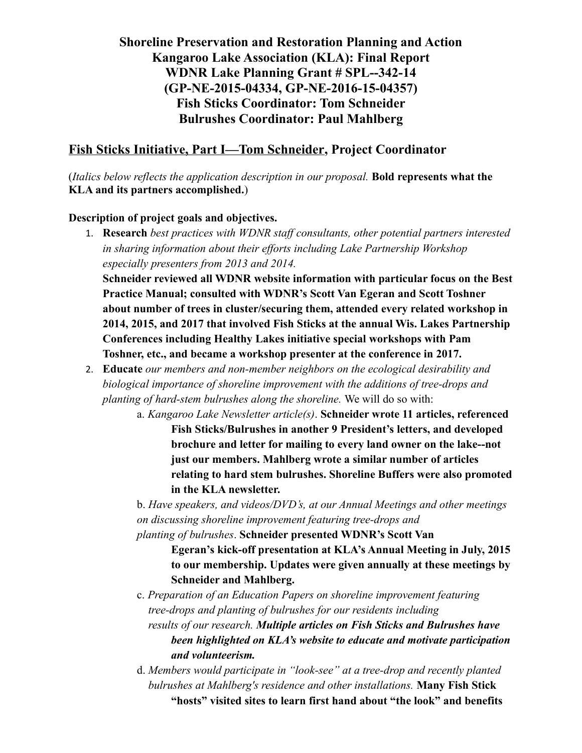## **Shoreline Preservation and Restoration Planning and Action Kangaroo Lake Association (KLA): Final Report WDNR Lake Planning Grant # SPL--342-14 (GP-NE-2015-04334, GP-NE-2016-15-04357) Fish Sticks Coordinator: Tom Schneider Bulrushes Coordinator: Paul Mahlberg**

## **Fish Sticks Initiative, Part I—Tom Schneider, Project Coordinator**

(*Italics below reflects the application description in our proposal.* **Bold represents what the KLA and its partners accomplished.**)

### **Description of project goals and objectives.**

1. **Research** *best practices with WDNR staff consultants, other potential partners interested in sharing information about their efforts including Lake Partnership Workshop especially presenters from 2013 and 2014.*

**Schneider reviewed all WDNR website information with particular focus on the Best Practice Manual; consulted with WDNR's Scott Van Egeran and Scott Toshner about number of trees in cluster/securing them, attended every related workshop in 2014, 2015, and 2017 that involved Fish Sticks at the annual Wis. Lakes Partnership Conferences including Healthy Lakes initiative special workshops with Pam Toshner, etc., and became a workshop presenter at the conference in 2017.** 

- 2. **Educate** *our members and non-member neighbors on the ecological desirability and biological importance of shoreline improvement with the additions of tree-drops and planting of hard-stem bulrushes along the shoreline.* We will do so with:
	- a. *Kangaroo Lake Newsletter article(s)*. **Schneider wrote 11 articles, referenced Fish Sticks/Bulrushes in another 9 President's letters, and developed brochure and letter for mailing to every land owner on the lake--not just our members. Mahlberg wrote a similar number of articles relating to hard stem bulrushes. Shoreline Buffers were also promoted in the KLA newsletter.**

b. *Have speakers, and videos/DVD's, at our Annual Meetings and other meetings on discussing shoreline improvement featuring tree-drops and* 

*planting of bulrushes*. **Schneider presented WDNR's Scott Van Egeran's kick-off presentation at KLA's Annual Meeting in July, 2015 to our membership. Updates were given annually at these meetings by Schneider and Mahlberg.**

c. *Preparation of an Education Papers on shoreline improvement featuring tree-drops and planting of bulrushes for our residents including results of our research. Multiple articles on Fish Sticks and Bulrushes have been highlighted on KLA's website to educate and motivate participation and volunteerism.*

d. *Members would participate in "look-see" at a tree-drop and recently planted bulrushes at Mahlberg's residence and other installations.* **Many Fish Stick "hosts" visited sites to learn first hand about "the look" and benefits**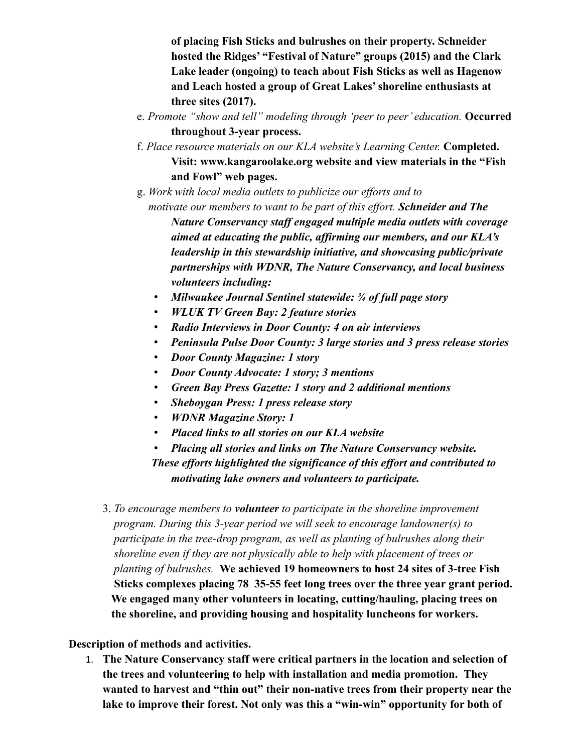**of placing Fish Sticks and bulrushes on their property. Schneider hosted the Ridges' "Festival of Nature" groups (2015) and the Clark Lake leader (ongoing) to teach about Fish Sticks as well as Hagenow and Leach hosted a group of Great Lakes' shoreline enthusiasts at three sites (2017).**

- e. *Promote "show and tell" modeling through 'peer to peer' education.* **Occurred throughout 3-year process.**
- f. *Place resource materials on our KLA website's Learning Center.* **Completed. Visit: www.kangaroolake.org website and view materials in the "Fish and Fowl" web pages.**
- g. *Work with local media outlets to publicize our efforts and to motivate our members to want to be part of this effort. Schneider and The Nature Conservancy staff engaged multiple media outlets with coverage aimed at educating the public, affirming our members, and our KLA's leadership in this stewardship initiative, and showcasing public/private partnerships with WDNR, The Nature Conservancy, and local business volunteers including:*
	- *Milwaukee Journal Sentinel statewide: ¾ of full page story*
	- *WLUK TV Green Bay: 2 feature stories*
	- *Radio Interviews in Door County: 4 on air interviews*
	- *Peninsula Pulse Door County: 3 large stories and 3 press release stories*
	- *Door County Magazine: 1 story*
	- *Door County Advocate: 1 story; 3 mentions*
	- *Green Bay Press Gazette: 1 story and 2 additional mentions*
	- *Sheboygan Press: 1 press release story*
	- *WDNR Magazine Story: 1*
	- *Placed links to all stories on our KLA website*
	- *Placing all stories and links on The Nature Conservancy website.*

 *These efforts highlighted the significance of this effort and contributed to motivating lake owners and volunteers to participate.*

3. *To encourage members to volunteer to participate in the shoreline improvement program. During this 3-year period we will seek to encourage landowner(s) to participate in the tree-drop program, as well as planting of bulrushes along their shoreline even if they are not physically able to help with placement of trees or planting of bulrushes.* **We achieved 19 homeowners to host 24 sites of 3-tree Fish Sticks complexes placing 78 35-55 feet long trees over the three year grant period. We engaged many other volunteers in locating, cutting/hauling, placing trees on the shoreline, and providing housing and hospitality luncheons for workers.** 

**Description of methods and activities.**

1. **The Nature Conservancy staff were critical partners in the location and selection of the trees and volunteering to help with installation and media promotion. They wanted to harvest and "thin out" their non-native trees from their property near the lake to improve their forest. Not only was this a "win-win" opportunity for both of**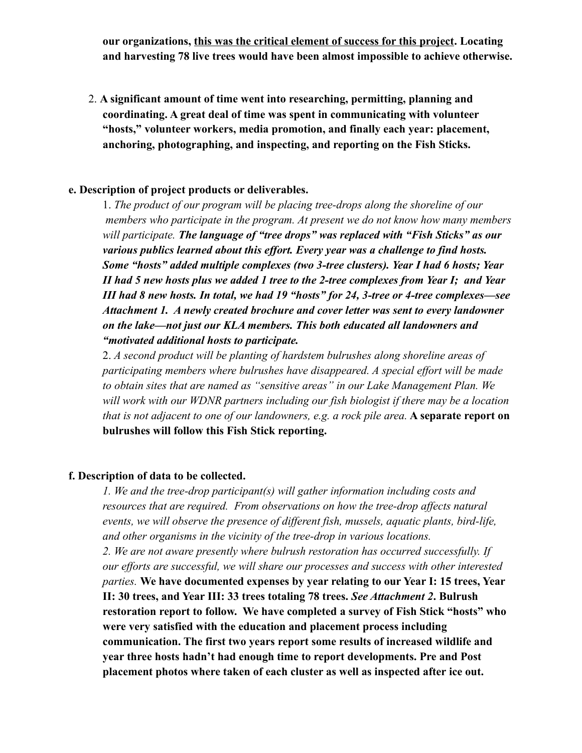**our organizations, this was the critical element of success for this project. Locating and harvesting 78 live trees would have been almost impossible to achieve otherwise.**

 2. **A significant amount of time went into researching, permitting, planning and coordinating. A great deal of time was spent in communicating with volunteer "hosts," volunteer workers, media promotion, and finally each year: placement, anchoring, photographing, and inspecting, and reporting on the Fish Sticks.** 

#### **e. Description of project products or deliverables.**

1. *The product of our program will be placing tree-drops along the shoreline of our members who participate in the program. At present we do not know how many members will participate. The language of "tree drops" was replaced with "Fish Sticks" as our various publics learned about this effort. Every year was a challenge to find hosts. Some "hosts" added multiple complexes (two 3-tree clusters). Year I had 6 hosts; Year II had 5 new hosts plus we added 1 tree to the 2-tree complexes from Year I; and Year III had 8 new hosts. In total, we had 19 "hosts" for 24, 3-tree or 4-tree complexes—see Attachment 1. A newly created brochure and cover letter was sent to every landowner on the lake—not just our KLA members. This both educated all landowners and "motivated additional hosts to participate.*

2. *A second product will be planting of hardstem bulrushes along shoreline areas of participating members where bulrushes have disappeared. A special effort will be made to obtain sites that are named as "sensitive areas" in our Lake Management Plan. We will work with our WDNR partners including our fish biologist if there may be a location that is not adjacent to one of our landowners, e.g. a rock pile area.* **A separate report on bulrushes will follow this Fish Stick reporting.**

#### **f. Description of data to be collected.**

*1. We and the tree-drop participant(s) will gather information including costs and resources that are required. From observations on how the tree-drop affects natural events, we will observe the presence of different fish, mussels, aquatic plants, bird-life, and other organisms in the vicinity of the tree-drop in various locations. 2. We are not aware presently where bulrush restoration has occurred successfully. If our efforts are successful, we will share our processes and success with other interested parties.* **We have documented expenses by year relating to our Year I: 15 trees, Year II: 30 trees, and Year III: 33 trees totaling 78 trees.** *See Attachment 2***. Bulrush restoration report to follow. We have completed a survey of Fish Stick "hosts" who were very satisfied with the education and placement process including communication. The first two years report some results of increased wildlife and year three hosts hadn't had enough time to report developments. Pre and Post placement photos where taken of each cluster as well as inspected after ice out.**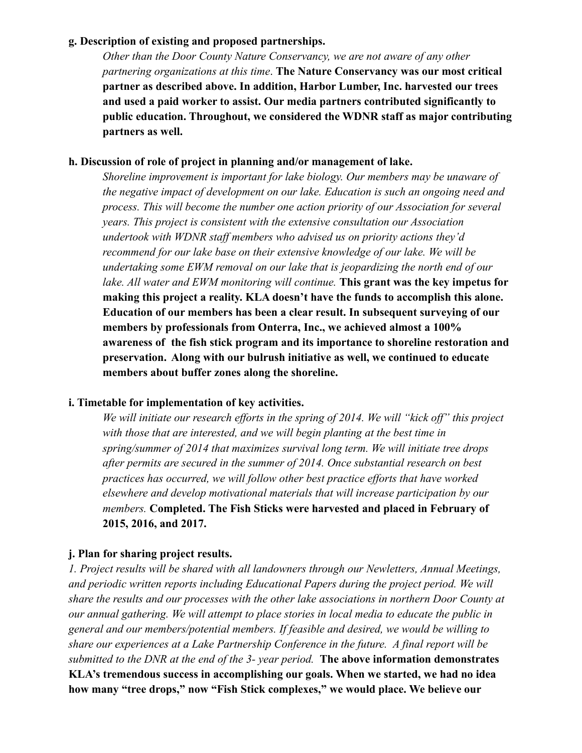#### **g. Description of existing and proposed partnerships.**

*Other than the Door County Nature Conservancy, we are not aware of any other partnering organizations at this time*. **The Nature Conservancy was our most critical partner as described above. In addition, Harbor Lumber, Inc. harvested our trees and used a paid worker to assist. Our media partners contributed significantly to public education. Throughout, we considered the WDNR staff as major contributing partners as well.**

#### **h. Discussion of role of project in planning and/or management of lake.**

*Shoreline improvement is important for lake biology. Our members may be unaware of the negative impact of development on our lake. Education is such an ongoing need and process. This will become the number one action priority of our Association for several years. This project is consistent with the extensive consultation our Association undertook with WDNR staff members who advised us on priority actions they'd recommend for our lake base on their extensive knowledge of our lake. We will be undertaking some EWM removal on our lake that is jeopardizing the north end of our lake. All water and EWM monitoring will continue.* **This grant was the key impetus for making this project a reality. KLA doesn't have the funds to accomplish this alone. Education of our members has been a clear result. In subsequent surveying of our members by professionals from Onterra, Inc., we achieved almost a 100% awareness of the fish stick program and its importance to shoreline restoration and preservation. Along with our bulrush initiative as well, we continued to educate members about buffer zones along the shoreline.** 

#### **i. Timetable for implementation of key activities.**

*We will initiate our research efforts in the spring of 2014. We will "kick off" this project*  with those that are interested, and we will begin planting at the best time in *spring/summer of 2014 that maximizes survival long term. We will initiate tree drops after permits are secured in the summer of 2014. Once substantial research on best practices has occurred, we will follow other best practice efforts that have worked elsewhere and develop motivational materials that will increase participation by our members.* **Completed. The Fish Sticks were harvested and placed in February of 2015, 2016, and 2017.**

### **j. Plan for sharing project results.**

*1. Project results will be shared with all landowners through our Newletters, Annual Meetings, and periodic written reports including Educational Papers during the project period. We will share the results and our processes with the other lake associations in northern Door County at our annual gathering. We will attempt to place stories in local media to educate the public in general and our members/potential members. If feasible and desired, we would be willing to share our experiences at a Lake Partnership Conference in the future. A final report will be submitted to the DNR at the end of the 3- year period.* **The above information demonstrates KLA's tremendous success in accomplishing our goals. When we started, we had no idea how many "tree drops," now "Fish Stick complexes," we would place. We believe our**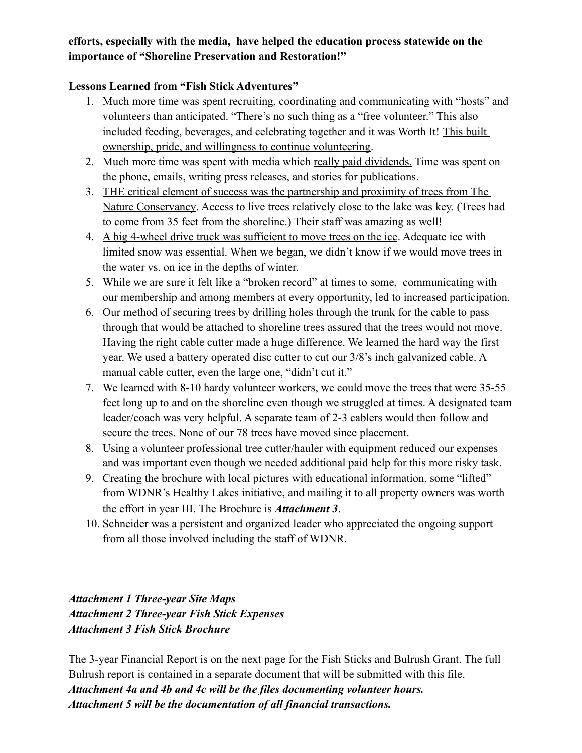### **efforts, especially with the media, have helped the education process statewide on the importance of "Shoreline Preservation and Restoration!"**

### **Lessons Learned from "Fish Stick Adventures"**

- 1. Much more time was spent recruiting, coordinating and communicating with "hosts" and volunteers than anticipated. "There's no such thing as a "free volunteer." This also included feeding, beverages, and celebrating together and it was Worth It! This built ownership, pride, and willingness to continue volunteering.
- 2. Much more time was spent with media which really paid dividends. Time was spent on the phone, emails, writing press releases, and stories for publications.
- 3. THE critical element of success was the partnership and proximity of trees from The Nature Conservancy. Access to live trees relatively close to the lake was key. (Trees had to come from 35 feet from the shoreline.) Their staff was amazing as well!
- 4. A big 4-wheel drive truck was sufficient to move trees on the ice. Adequate ice with limited snow was essential. When we began, we didn't know if we would move trees in the water vs. on ice in the depths of winter.
- 5. While we are sure it felt like a "broken record" at times to some, communicating with our membership and among members at every opportunity, led to increased participation.
- 6. Our method of securing trees by drilling holes through the trunk for the cable to pass through that would be attached to shoreline trees assured that the trees would not move. Having the right cable cutter made a huge difference. We learned the hard way the first year. We used a battery operated disc cutter to cut our 3/8's inch galvanized cable. A manual cable cutter, even the large one, "didn't cut it."
- 7. We learned with 8-10 hardy volunteer workers, we could move the trees that were 35-55 feet long up to and on the shoreline even though we struggled at times. A designated team leader/coach was very helpful. A separate team of 2-3 cablers would then follow and secure the trees. None of our 78 trees have moved since placement.
- 8. Using a volunteer professional tree cutter/hauler with equipment reduced our expenses and was important even though we needed additional paid help for this more risky task.
- 9. Creating the brochure with local pictures with educational information, some "lifted" from WDNR's Healthy Lakes initiative, and mailing it to all property owners was worth the effort in year III. The Brochure is *Attachment 3*.
- 10. Schneider was a persistent and organized leader who appreciated the ongoing support from all those involved including the staff of WDNR.

## *Attachment 1 Three-year Site Maps Attachment 2 Three-year Fish Stick Expenses Attachment 3 Fish Stick Brochure*

The 3-year Financial Report is on the next page for the Fish Sticks and Bulrush Grant. The full Bulrush report is contained in a separate document that will be submitted with this file. *Attachment 4a and 4b and 4c will be the files documenting volunteer hours. Attachment 5 will be the documentation of all financial transactions.*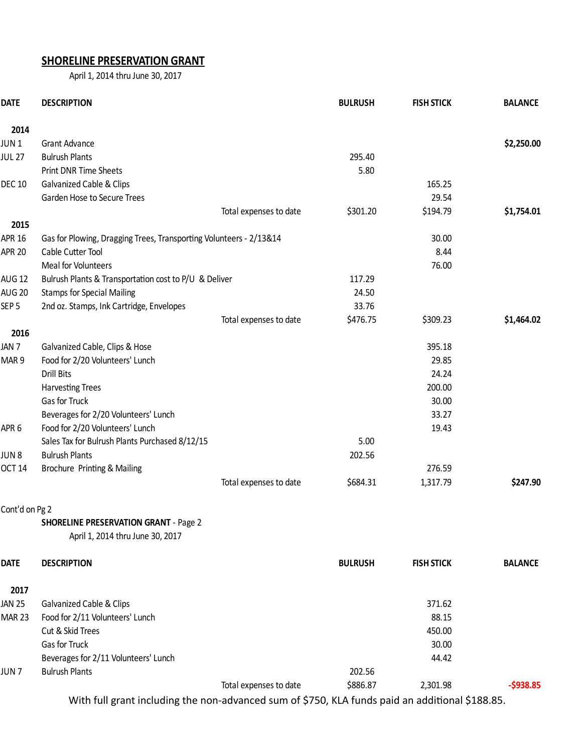## **SHORELINE PRESERVATION GRANT**

April 1, 2014 thru June 30, 2017

| <b>DATE</b>       | <b>DESCRIPTION</b>                                                 |                        | <b>BULRUSH</b> | <b>FISH STICK</b> | <b>BALANCE</b> |
|-------------------|--------------------------------------------------------------------|------------------------|----------------|-------------------|----------------|
| 2014              |                                                                    |                        |                |                   |                |
| JUN <sub>1</sub>  | <b>Grant Advance</b>                                               |                        |                |                   | \$2,250.00     |
| <b>JUL 27</b>     | <b>Bulrush Plants</b>                                              |                        | 295.40         |                   |                |
|                   | <b>Print DNR Time Sheets</b>                                       |                        | 5.80           |                   |                |
| <b>DEC 10</b>     | Galvanized Cable & Clips                                           |                        |                | 165.25            |                |
|                   | Garden Hose to Secure Trees                                        |                        |                | 29.54             |                |
|                   |                                                                    | Total expenses to date | \$301.20       | \$194.79          | \$1,754.01     |
| 2015              |                                                                    |                        |                |                   |                |
| <b>APR 16</b>     | Gas for Plowing, Dragging Trees, Transporting Volunteers - 2/13&14 |                        |                | 30.00             |                |
| <b>APR 20</b>     | Cable Cutter Tool                                                  |                        |                | 8.44              |                |
|                   | Meal for Volunteers                                                |                        |                | 76.00             |                |
| AUG <sub>12</sub> | Bulrush Plants & Transportation cost to P/U & Deliver              |                        | 117.29         |                   |                |
| <b>AUG 20</b>     | <b>Stamps for Special Mailing</b>                                  |                        | 24.50          |                   |                |
| SEP <sub>5</sub>  | 2nd oz. Stamps, Ink Cartridge, Envelopes                           |                        | 33.76          |                   |                |
|                   |                                                                    | Total expenses to date | \$476.75       | \$309.23          | \$1,464.02     |
| 2016              |                                                                    |                        |                |                   |                |
| JAN <sub>7</sub>  | Galvanized Cable, Clips & Hose                                     |                        |                | 395.18            |                |
| MAR <sub>9</sub>  | Food for 2/20 Volunteers' Lunch                                    |                        |                | 29.85             |                |
|                   | <b>Drill Bits</b>                                                  |                        |                | 24.24             |                |
|                   | <b>Harvesting Trees</b>                                            |                        |                | 200.00            |                |
|                   | Gas for Truck                                                      |                        |                | 30.00             |                |
|                   | Beverages for 2/20 Volunteers' Lunch                               |                        |                | 33.27             |                |
| APR <sub>6</sub>  | Food for 2/20 Volunteers' Lunch                                    |                        |                | 19.43             |                |
|                   | Sales Tax for Bulrush Plants Purchased 8/12/15                     |                        | 5.00           |                   |                |
| JUN <sub>8</sub>  | <b>Bulrush Plants</b>                                              |                        | 202.56         |                   |                |
| <b>OCT 14</b>     | Brochure Printing & Mailing                                        |                        |                | 276.59            |                |
|                   |                                                                    | Total expenses to date | \$684.31       | 1,317.79          | \$247.90       |
| Cont'd on Pg 2    |                                                                    |                        |                |                   |                |
|                   | <b>SHORELINE PRESERVATION GRANT - Page 2</b>                       |                        |                |                   |                |
|                   | April 1, 2014 thru June 30, 2017                                   |                        |                |                   |                |
| <b>DATE</b>       | <b>DESCRIPTION</b>                                                 |                        | <b>BULRUSH</b> | <b>FISH STICK</b> | <b>BALANCE</b> |
| 2017              |                                                                    |                        |                |                   |                |
| <b>JAN 25</b>     | Galvanized Cable & Clips                                           |                        |                | 371.62            |                |
| <b>MAR 23</b>     | Food for 2/11 Volunteers' Lunch                                    |                        |                | 88.15             |                |
|                   | Cut & Skid Trees                                                   |                        |                | 450.00            |                |
|                   | Gas for Truck                                                      |                        |                | 30.00             |                |
|                   | Beverages for 2/11 Volunteers' Lunch                               |                        |                | 44.42             |                |
| JUN <sub>7</sub>  | <b>Bulrush Plants</b>                                              |                        | 202.56         |                   |                |
|                   |                                                                    | Total expenses to date | \$886.87       | 2,301.98          | $-5938.85$     |

With full grant including the non-advanced sum of \$750, KLA funds paid an additional \$188.85.